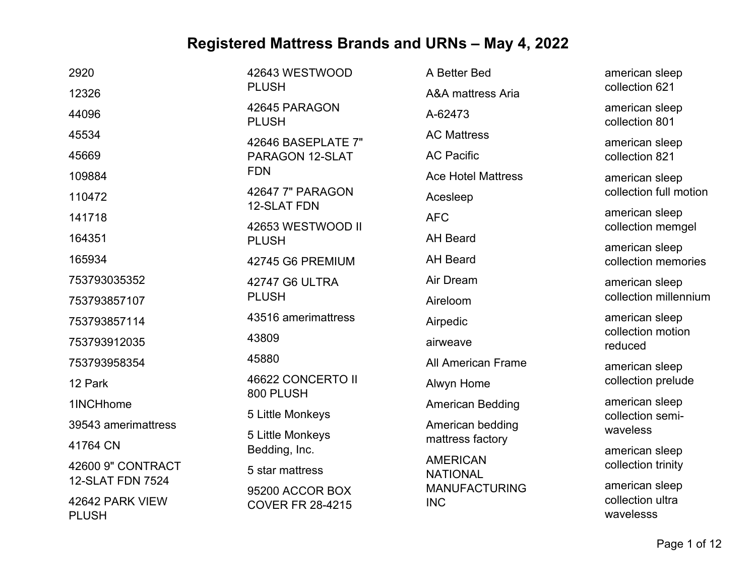| 2920                            | 42643 WESTWOOD                         | A Better Bed                       | american sleep                        |
|---------------------------------|----------------------------------------|------------------------------------|---------------------------------------|
| 12326                           | <b>PLUSH</b>                           | <b>A&amp;A</b> mattress Aria       | collection 621                        |
| 44096                           | 42645 PARAGON<br><b>PLUSH</b>          | A-62473                            | american sleep<br>collection 801      |
| 45534                           | 42646 BASEPLATE 7"                     | <b>AC Mattress</b>                 | american sleep                        |
| 45669                           | PARAGON 12-SLAT                        | <b>AC Pacific</b>                  | collection 821                        |
| 109884                          | <b>FDN</b>                             | <b>Ace Hotel Mattress</b>          | american sleep                        |
| 110472                          | 42647 7" PARAGON<br><b>12-SLAT FDN</b> | Acesleep                           | collection full motion                |
| 141718                          | 42653 WESTWOOD II                      | <b>AFC</b>                         | american sleep                        |
| 164351                          | <b>PLUSH</b>                           | <b>AH Beard</b>                    | collection memgel                     |
| 165934                          | 42745 G6 PREMIUM                       | <b>AH Beard</b>                    | american sleep<br>collection memories |
| 753793035352                    | 42747 G6 ULTRA                         | Air Dream                          | american sleep                        |
| 753793857107                    | <b>PLUSH</b>                           | Aireloom                           | collection millennium                 |
| 753793857114                    | 43516 amerimattress                    | Airpedic                           | american sleep                        |
| 753793912035                    | 43809                                  | airweave                           | collection motion<br>reduced          |
| 753793958354                    | 45880                                  | <b>All American Frame</b>          | american sleep                        |
| 12 Park                         | 46622 CONCERTO II                      | Alwyn Home                         | collection prelude                    |
| 1INCHhome                       | 800 PLUSH                              | <b>American Bedding</b>            | american sleep                        |
| 39543 amerimattress             | 5 Little Monkeys                       | American bedding                   | collection semi-<br>waveless          |
| 41764 CN                        | 5 Little Monkeys<br>Bedding, Inc.      | mattress factory                   | american sleep                        |
| 42600 9" CONTRACT               | 5 star mattress                        | <b>AMERICAN</b><br><b>NATIONAL</b> | collection trinity                    |
| <b>12-SLAT FDN 7524</b>         | 95200 ACCOR BOX                        | <b>MANUFACTURING</b>               | american sleep                        |
| 42642 PARK VIEW<br><b>PLUSH</b> | <b>COVER FR 28-4215</b>                | <b>INC</b>                         | collection ultra<br>wavelesss         |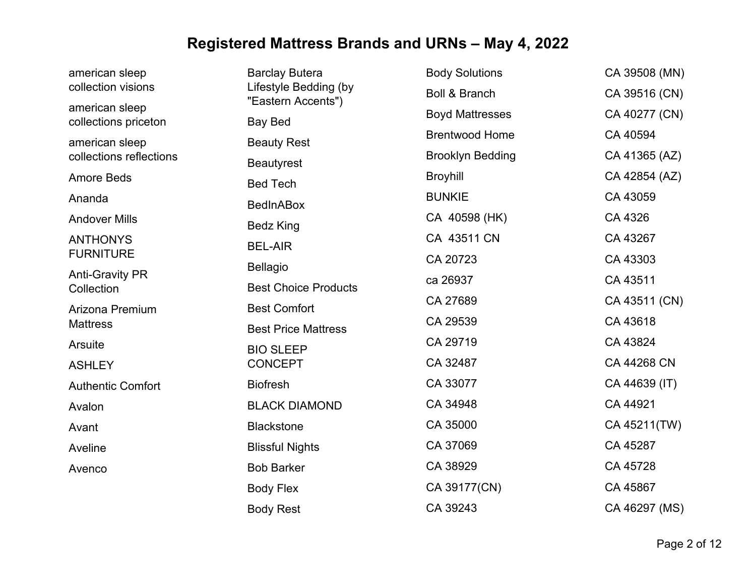| american sleep                         | <b>Barclay Butera</b>                       | <b>Body Solutions</b>    | CA 39508 (MN) |
|----------------------------------------|---------------------------------------------|--------------------------|---------------|
| collection visions                     | Lifestyle Bedding (by<br>"Eastern Accents") | <b>Boll &amp; Branch</b> | CA 39516 (CN) |
| american sleep<br>collections priceton | <b>Bay Bed</b>                              | <b>Boyd Mattresses</b>   | CA 40277 (CN) |
| american sleep                         | <b>Beauty Rest</b>                          | <b>Brentwood Home</b>    | CA 40594      |
| collections reflections                | <b>Beautyrest</b>                           | <b>Brooklyn Bedding</b>  | CA 41365 (AZ) |
| <b>Amore Beds</b>                      | <b>Bed Tech</b>                             | <b>Broyhill</b>          | CA 42854 (AZ) |
| Ananda                                 | <b>BedInABox</b>                            | <b>BUNKIE</b>            | CA 43059      |
| <b>Andover Mills</b>                   | <b>Bedz King</b>                            | CA 40598 (HK)            | CA 4326       |
| <b>ANTHONYS</b>                        | <b>BEL-AIR</b>                              | CA 43511 CN              | CA 43267      |
| <b>FURNITURE</b>                       | <b>Bellagio</b>                             | CA 20723                 | CA 43303      |
| <b>Anti-Gravity PR</b><br>Collection   | <b>Best Choice Products</b>                 | ca 26937                 | CA 43511      |
| Arizona Premium                        | <b>Best Comfort</b>                         | CA 27689                 | CA 43511 (CN) |
| <b>Mattress</b>                        | <b>Best Price Mattress</b>                  | CA 29539                 | CA 43618      |
| Arsuite                                | <b>BIO SLEEP</b>                            | CA 29719                 | CA 43824      |
| <b>ASHLEY</b>                          | <b>CONCEPT</b>                              | CA 32487                 | CA 44268 CN   |
| <b>Authentic Comfort</b>               | <b>Biofresh</b>                             | CA 33077                 | CA 44639 (IT) |
| Avalon                                 | <b>BLACK DIAMOND</b>                        | CA 34948                 | CA 44921      |
| Avant                                  | <b>Blackstone</b>                           | CA 35000                 | CA 45211(TW)  |
| Aveline                                | <b>Blissful Nights</b>                      | CA 37069                 | CA 45287      |
| Avenco                                 | <b>Bob Barker</b>                           | CA 38929                 | CA 45728      |
|                                        | <b>Body Flex</b>                            | CA 39177(CN)             | CA 45867      |
|                                        | <b>Body Rest</b>                            | CA 39243                 | CA 46297 (MS) |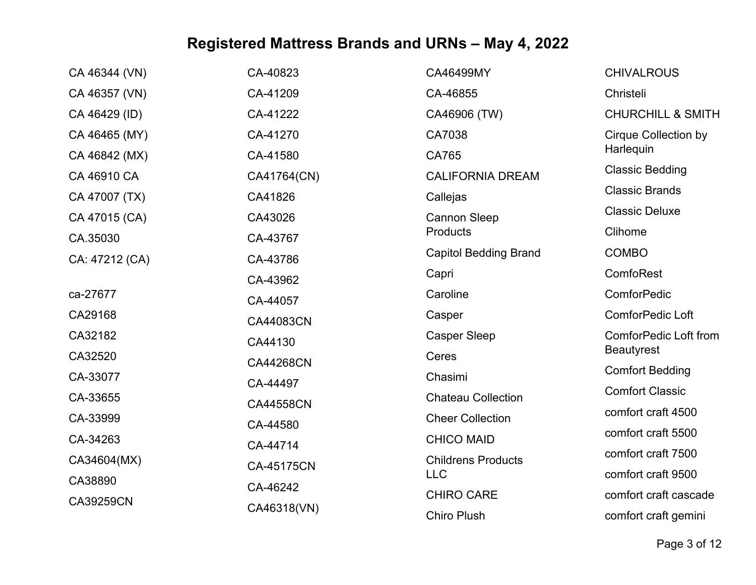| CA 46344 (VN)  | CA-40823         | CA46499MY                    | <b>CHIVALROUS</b>            |
|----------------|------------------|------------------------------|------------------------------|
| CA 46357 (VN)  | CA-41209         | CA-46855                     | Christeli                    |
| CA 46429 (ID)  | CA-41222         | CA46906 (TW)                 | <b>CHURCHILL &amp; SMITH</b> |
| CA 46465 (MY)  | CA-41270         | CA7038                       | <b>Cirque Collection by</b>  |
| CA 46842 (MX)  | CA-41580         | CA765                        | Harlequin                    |
| CA 46910 CA    | CA41764(CN)      | <b>CALIFORNIA DREAM</b>      | <b>Classic Bedding</b>       |
| CA 47007 (TX)  | CA41826          | Callejas                     | <b>Classic Brands</b>        |
| CA 47015 (CA)  | CA43026          | <b>Cannon Sleep</b>          | <b>Classic Deluxe</b>        |
| CA.35030       | CA-43767         | Products                     | Clihome                      |
| CA: 47212 (CA) | CA-43786         | <b>Capitol Bedding Brand</b> | <b>COMBO</b>                 |
|                | CA-43962         | Capri                        | ComfoRest                    |
| ca-27677       | CA-44057         | Caroline                     | <b>ComforPedic</b>           |
| CA29168        | CA44083CN        | Casper                       | ComforPedic Loft             |
| CA32182        | CA44130          | <b>Casper Sleep</b>          | <b>ComforPedic Loft from</b> |
| CA32520        | <b>CA44268CN</b> | Ceres                        | <b>Beautyrest</b>            |
| CA-33077       | CA-44497         | Chasimi                      | <b>Comfort Bedding</b>       |
| CA-33655       | <b>CA44558CN</b> | <b>Chateau Collection</b>    | <b>Comfort Classic</b>       |
| CA-33999       | CA-44580         | <b>Cheer Collection</b>      | comfort craft 4500           |
| CA-34263       | CA-44714         | <b>CHICO MAID</b>            | comfort craft 5500           |
| CA34604(MX)    | CA-45175CN       | <b>Childrens Products</b>    | comfort craft 7500           |
| CA38890        |                  | <b>LLC</b>                   | comfort craft 9500           |
| CA39259CN      | CA-46242         | <b>CHIRO CARE</b>            | comfort craft cascade        |
|                | CA46318(VN)      | <b>Chiro Plush</b>           | comfort craft gemini         |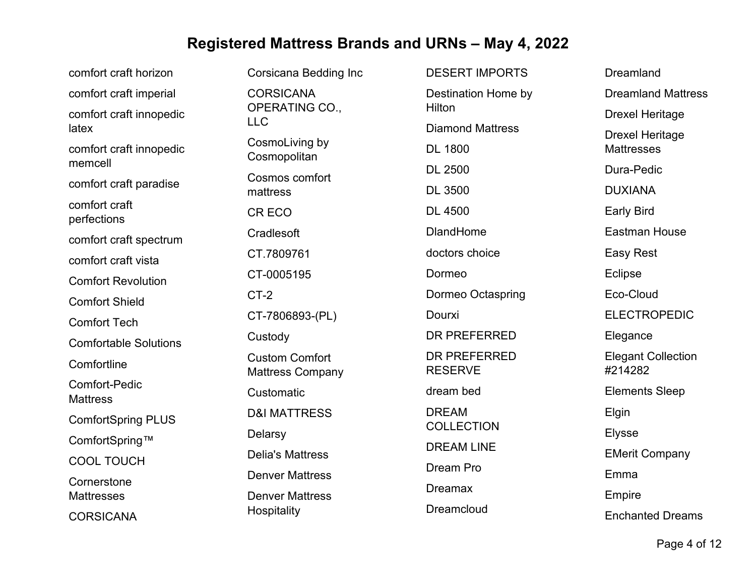| comfort craft horizon                   | <b>Corsicana Bedding Inc</b>                     | <b>DESERT IMPORTS</b>             | <b>Dreamland</b>                     |
|-----------------------------------------|--------------------------------------------------|-----------------------------------|--------------------------------------|
| comfort craft imperial                  | <b>CORSICANA</b>                                 | Destination Home by               | <b>Dreamland Mattress</b>            |
| comfort craft innopedic                 | OPERATING CO.,<br><b>LLC</b>                     | Hilton                            | <b>Drexel Heritage</b>               |
| latex                                   | CosmoLiving by                                   | <b>Diamond Mattress</b>           | <b>Drexel Heritage</b>               |
| comfort craft innopedic<br>memcell      | Cosmopolitan                                     | <b>DL 1800</b>                    | <b>Mattresses</b>                    |
| comfort craft paradise                  | Cosmos comfort                                   | <b>DL 2500</b>                    | Dura-Pedic                           |
|                                         | mattress                                         | <b>DL 3500</b>                    | <b>DUXIANA</b>                       |
| comfort craft<br>perfections            | CR ECO                                           | <b>DL 4500</b>                    | <b>Early Bird</b>                    |
| comfort craft spectrum                  | Cradlesoft                                       | <b>DlandHome</b>                  | <b>Eastman House</b>                 |
| comfort craft vista                     | CT.7809761                                       | doctors choice                    | <b>Easy Rest</b>                     |
| <b>Comfort Revolution</b>               | CT-0005195                                       | Dormeo                            | Eclipse                              |
| <b>Comfort Shield</b>                   | $CT-2$                                           | Dormeo Octaspring                 | Eco-Cloud                            |
| <b>Comfort Tech</b>                     | CT-7806893-(PL)                                  | Dourxi                            | <b>ELECTROPEDIC</b>                  |
| <b>Comfortable Solutions</b>            | Custody                                          | DR PREFERRED                      | Elegance                             |
| Comfortline                             | <b>Custom Comfort</b><br><b>Mattress Company</b> | DR PREFERRED<br><b>RESERVE</b>    | <b>Elegant Collection</b><br>#214282 |
| <b>Comfort-Pedic</b><br><b>Mattress</b> | Customatic                                       | dream bed                         | <b>Elements Sleep</b>                |
| <b>ComfortSpring PLUS</b>               | <b>D&amp;I MATTRESS</b>                          | <b>DREAM</b><br><b>COLLECTION</b> | Elgin                                |
| ComfortSpring™                          | Delarsy                                          |                                   | <b>Elysse</b>                        |
| <b>COOL TOUCH</b>                       | <b>Delia's Mattress</b>                          | <b>DREAM LINE</b>                 | <b>EMerit Company</b>                |
| Cornerstone                             | <b>Denver Mattress</b>                           | Dream Pro                         | Emma                                 |
| <b>Mattresses</b>                       | <b>Denver Mattress</b>                           | <b>Dreamax</b>                    | Empire                               |
| <b>CORSICANA</b>                        | Hospitality                                      | Dreamcloud                        | <b>Enchanted Dreams</b>              |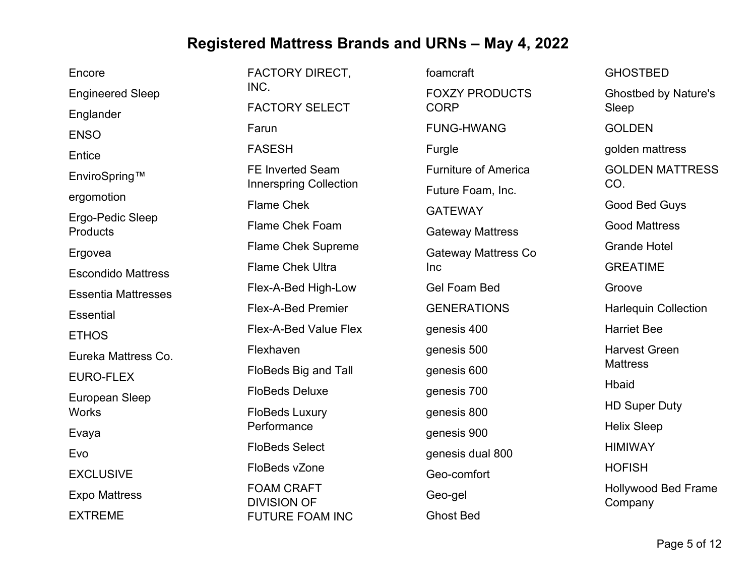| Encore                     | <b>FACTORY DIRECT,</b>                       | foamcraft                   | <b>GHOSTBED</b>             |
|----------------------------|----------------------------------------------|-----------------------------|-----------------------------|
| <b>Engineered Sleep</b>    | INC.                                         | <b>FOXZY PRODUCTS</b>       | <b>Ghostbed by Nature's</b> |
| Englander                  | <b>FACTORY SELECT</b>                        | <b>CORP</b>                 | Sleep                       |
| <b>ENSO</b>                | Farun                                        | <b>FUNG-HWANG</b>           | <b>GOLDEN</b>               |
| Entice                     | <b>FASESH</b>                                | Furgle                      | golden mattress             |
| EnviroSpring™              | <b>FE Inverted Seam</b>                      | <b>Furniture of America</b> | <b>GOLDEN MATTRESS</b>      |
| ergomotion                 | <b>Innerspring Collection</b>                | Future Foam, Inc.           | CO.                         |
| Ergo-Pedic Sleep           | <b>Flame Chek</b>                            | <b>GATEWAY</b>              | Good Bed Guys               |
| Products                   | Flame Chek Foam                              | <b>Gateway Mattress</b>     | <b>Good Mattress</b>        |
| Ergovea                    | <b>Flame Chek Supreme</b>                    | <b>Gateway Mattress Co</b>  | <b>Grande Hotel</b>         |
| <b>Escondido Mattress</b>  | <b>Flame Chek Ultra</b>                      | Inc                         | <b>GREATIME</b>             |
| <b>Essentia Mattresses</b> | Flex-A-Bed High-Low                          | <b>Gel Foam Bed</b>         | Groove                      |
| <b>Essential</b>           | Flex-A-Bed Premier                           | <b>GENERATIONS</b>          | <b>Harlequin Collection</b> |
| <b>ETHOS</b>               | <b>Flex-A-Bed Value Flex</b>                 | genesis 400                 | <b>Harriet Bee</b>          |
| Eureka Mattress Co.        | Flexhaven                                    | genesis 500                 | <b>Harvest Green</b>        |
| <b>EURO-FLEX</b>           | FloBeds Big and Tall                         | genesis 600                 | <b>Mattress</b>             |
| European Sleep             | <b>FloBeds Deluxe</b>                        | genesis 700                 | <b>Hbaid</b>                |
| <b>Works</b>               | <b>FloBeds Luxury</b>                        | genesis 800                 | <b>HD Super Duty</b>        |
| Evaya                      | Performance                                  | genesis 900                 | <b>Helix Sleep</b>          |
| Evo                        | <b>FloBeds Select</b>                        | genesis dual 800            | <b>HIMIWAY</b>              |
| <b>EXCLUSIVE</b>           | FloBeds vZone                                | Geo-comfort                 | <b>HOFISH</b>               |
| <b>Expo Mattress</b>       | <b>FOAM CRAFT</b>                            | Geo-gel                     | <b>Hollywood Bed Frame</b>  |
| <b>EXTREME</b>             | <b>DIVISION OF</b><br><b>FUTURE FOAM INC</b> | <b>Ghost Bed</b>            | Company                     |
|                            |                                              |                             |                             |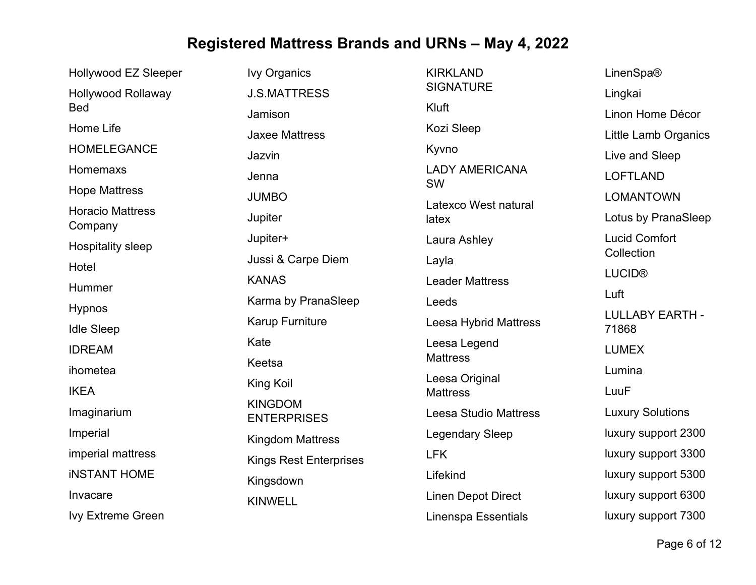| Hollywood EZ Sleeper               | <b>Ivy Organics</b>                  | <b>KIRKLAND</b>                   | LinenSpa®                       |
|------------------------------------|--------------------------------------|-----------------------------------|---------------------------------|
| <b>Hollywood Rollaway</b>          | <b>J.S.MATTRESS</b>                  | <b>SIGNATURE</b>                  | Lingkai                         |
| <b>Bed</b>                         | Jamison                              | Kluft                             | Linon Home Décor                |
| Home Life                          | <b>Jaxee Mattress</b>                | Kozi Sleep                        | Little Lamb Organics            |
| <b>HOMELEGANCE</b>                 | Jazvin                               | Kyvno                             | Live and Sleep                  |
| Homemaxs                           | Jenna                                | <b>LADY AMERICANA</b>             | <b>LOFTLAND</b>                 |
| <b>Hope Mattress</b>               | <b>JUMBO</b>                         | <b>SW</b>                         | <b>LOMANTOWN</b>                |
| <b>Horacio Mattress</b><br>Company | Jupiter                              | Latexco West natural<br>latex     | Lotus by PranaSleep             |
| <b>Hospitality sleep</b>           | Jupiter+                             | Laura Ashley                      | <b>Lucid Comfort</b>            |
| Hotel                              | Jussi & Carpe Diem                   | Layla                             | Collection                      |
| Hummer                             | <b>KANAS</b>                         | <b>Leader Mattress</b>            | <b>LUCID®</b>                   |
| <b>Hypnos</b>                      | Karma by PranaSleep                  | Leeds                             | Luft                            |
| <b>Idle Sleep</b>                  | <b>Karup Furniture</b>               | <b>Leesa Hybrid Mattress</b>      | <b>LULLABY EARTH -</b><br>71868 |
| <b>IDREAM</b>                      | Kate                                 | Leesa Legend                      | <b>LUMEX</b>                    |
| ihometea                           | Keetsa                               | <b>Mattress</b>                   | Lumina                          |
| <b>IKEA</b>                        | King Koil                            | Leesa Original<br><b>Mattress</b> | LuuF                            |
| Imaginarium                        | <b>KINGDOM</b><br><b>ENTERPRISES</b> | <b>Leesa Studio Mattress</b>      | <b>Luxury Solutions</b>         |
| Imperial                           | <b>Kingdom Mattress</b>              | <b>Legendary Sleep</b>            | luxury support 2300             |
| imperial mattress                  | <b>Kings Rest Enterprises</b>        | <b>LFK</b>                        | luxury support 3300             |
| <b>INSTANT HOME</b>                | Kingsdown                            | Lifekind                          | luxury support 5300             |
| Invacare                           | <b>KINWELL</b>                       | <b>Linen Depot Direct</b>         | luxury support 6300             |
| <b>Ivy Extreme Green</b>           |                                      | <b>Linenspa Essentials</b>        | luxury support 7300             |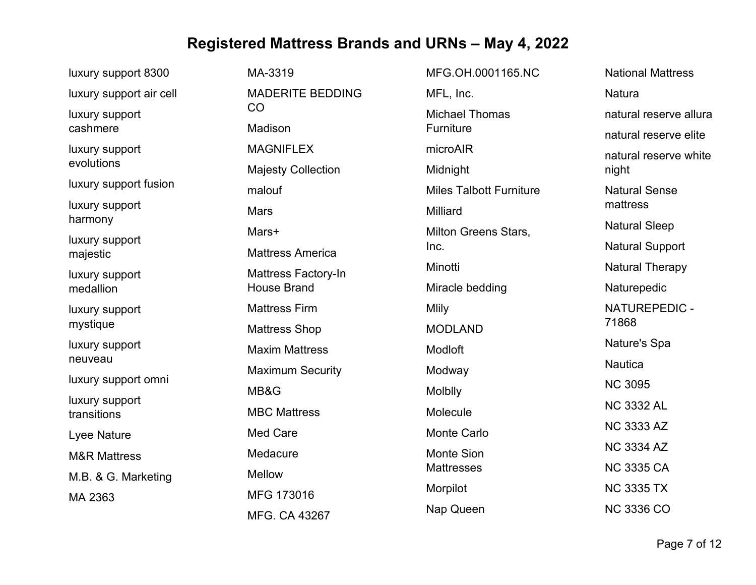| luxury support 8300           | MA-3319                    | MFG.OH.0001165.NC              | <b>National Mattress</b> |
|-------------------------------|----------------------------|--------------------------------|--------------------------|
| luxury support air cell       | <b>MADERITE BEDDING</b>    | MFL, Inc.                      | Natura                   |
| luxury support                | CO                         | <b>Michael Thomas</b>          | natural reserve allura   |
| cashmere                      | Madison                    | Furniture                      | natural reserve elite    |
| luxury support                | <b>MAGNIFLEX</b>           | microAIR                       | natural reserve white    |
| evolutions                    | <b>Majesty Collection</b>  | Midnight                       | night                    |
| luxury support fusion         | malouf                     | <b>Miles Talbott Furniture</b> | <b>Natural Sense</b>     |
| luxury support<br>harmony     | <b>Mars</b>                | Milliard                       | mattress                 |
|                               | Mars+                      | Milton Greens Stars,           | <b>Natural Sleep</b>     |
| luxury support<br>majestic    | <b>Mattress America</b>    | Inc.                           | <b>Natural Support</b>   |
| luxury support                | <b>Mattress Factory-In</b> | Minotti                        | <b>Natural Therapy</b>   |
| medallion                     | <b>House Brand</b>         | Miracle bedding                | Naturepedic              |
| luxury support<br>mystique    | <b>Mattress Firm</b>       | <b>Mlily</b>                   | NATUREPEDIC -            |
|                               | <b>Mattress Shop</b>       | <b>MODLAND</b>                 | 71868                    |
| luxury support                | <b>Maxim Mattress</b>      | Modloft                        | Nature's Spa             |
| neuveau                       | <b>Maximum Security</b>    | Modway                         | <b>Nautica</b>           |
| luxury support omni           | MB&G                       | Molblly                        | <b>NC 3095</b>           |
| luxury support<br>transitions | <b>MBC Mattress</b>        | Molecule                       | <b>NC 3332 AL</b>        |
| Lyee Nature                   | <b>Med Care</b>            | <b>Monte Carlo</b>             | <b>NC 3333 AZ</b>        |
| <b>M&amp;R Mattress</b>       | Medacure                   | <b>Monte Sion</b>              | <b>NC 3334 AZ</b>        |
|                               | Mellow                     | <b>Mattresses</b>              | <b>NC 3335 CA</b>        |
| M.B. & G. Marketing           | MFG 173016                 | Morpilot                       | <b>NC 3335 TX</b>        |
| MA 2363                       | MFG. CA 43267              | Nap Queen                      | <b>NC 3336 CO</b>        |
|                               |                            |                                |                          |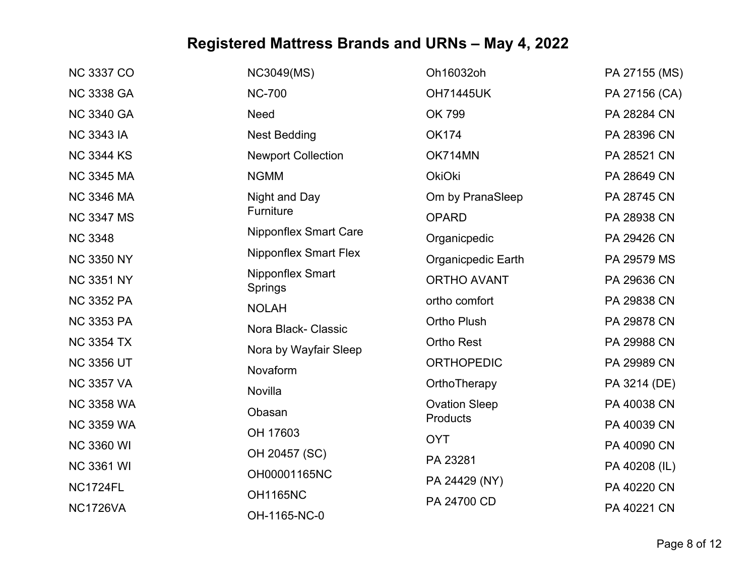| <b>NC 3337 CO</b> | <b>NC3049(MS)</b>            | Oh16032oh            | PA 27155 (MS) |
|-------------------|------------------------------|----------------------|---------------|
| <b>NC 3338 GA</b> | <b>NC-700</b>                | <b>OH71445UK</b>     | PA 27156 (CA) |
| <b>NC 3340 GA</b> | Need                         | OK 799               | PA 28284 CN   |
| <b>NC 3343 IA</b> | <b>Nest Bedding</b>          | <b>OK174</b>         | PA 28396 CN   |
| <b>NC 3344 KS</b> | <b>Newport Collection</b>    | OK714MN              | PA 28521 CN   |
| <b>NC 3345 MA</b> | <b>NGMM</b>                  | <b>OkiOki</b>        | PA 28649 CN   |
| <b>NC 3346 MA</b> | Night and Day                | Om by PranaSleep     | PA 28745 CN   |
| <b>NC 3347 MS</b> | Furniture                    | <b>OPARD</b>         | PA 28938 CN   |
| <b>NC 3348</b>    | <b>Nipponflex Smart Care</b> | Organicpedic         | PA 29426 CN   |
| <b>NC 3350 NY</b> | <b>Nipponflex Smart Flex</b> | Organicpedic Earth   | PA 29579 MS   |
| <b>NC 3351 NY</b> | Nipponflex Smart<br>Springs  | <b>ORTHO AVANT</b>   | PA 29636 CN   |
| <b>NC 3352 PA</b> | <b>NOLAH</b>                 | ortho comfort        | PA 29838 CN   |
| <b>NC 3353 PA</b> | Nora Black- Classic          | <b>Ortho Plush</b>   | PA 29878 CN   |
| <b>NC 3354 TX</b> | Nora by Wayfair Sleep        | <b>Ortho Rest</b>    | PA 29988 CN   |
| <b>NC 3356 UT</b> | Novaform                     | <b>ORTHOPEDIC</b>    | PA 29989 CN   |
| <b>NC 3357 VA</b> | Novilla                      | OrthoTherapy         | PA 3214 (DE)  |
| <b>NC 3358 WA</b> | Obasan                       | <b>Ovation Sleep</b> | PA 40038 CN   |
| <b>NC 3359 WA</b> | OH 17603                     | Products             | PA 40039 CN   |
| <b>NC 3360 WI</b> | OH 20457 (SC)                | <b>OYT</b>           | PA 40090 CN   |
| <b>NC 3361 WI</b> |                              | PA 23281             | PA 40208 (IL) |
| <b>NC1724FL</b>   | OH00001165NC                 | PA 24429 (NY)        | PA 40220 CN   |
| <b>NC1726VA</b>   | <b>OH1165NC</b>              | PA 24700 CD          | PA 40221 CN   |
|                   | OH-1165-NC-0                 |                      |               |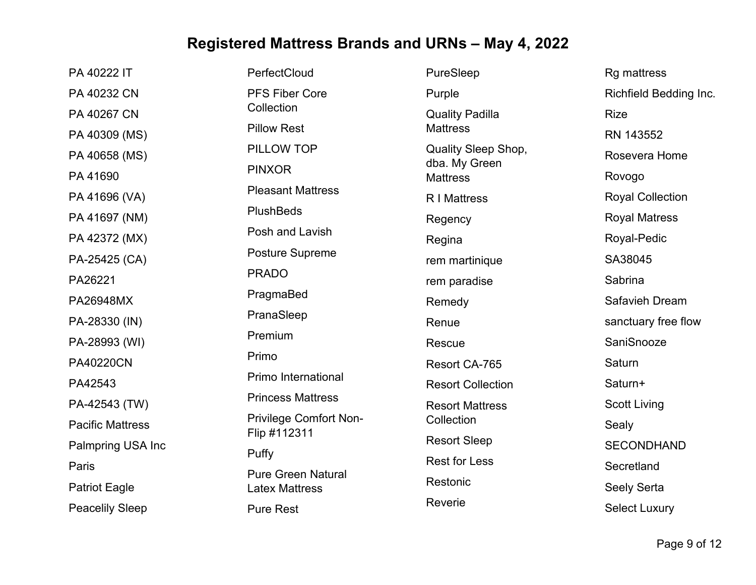| PA 40222 IT             | PerfectCloud                       | PureSleep                        | <b>Rg mattress</b>      |
|-------------------------|------------------------------------|----------------------------------|-------------------------|
| PA 40232 CN             | <b>PFS Fiber Core</b>              | Purple                           | Richfield Bedding Inc.  |
| PA 40267 CN             | Collection                         | <b>Quality Padilla</b>           | <b>Rize</b>             |
| PA 40309 (MS)           | <b>Pillow Rest</b>                 | <b>Mattress</b>                  | RN 143552               |
| PA 40658 (MS)           | PILLOW TOP                         | <b>Quality Sleep Shop,</b>       | Rosevera Home           |
| PA 41690                | <b>PINXOR</b>                      | dba. My Green<br><b>Mattress</b> | Rovogo                  |
| PA 41696 (VA)           | <b>Pleasant Mattress</b>           | <b>R</b> I Mattress              | <b>Royal Collection</b> |
| PA 41697 (NM)           | <b>PlushBeds</b>                   | Regency                          | <b>Royal Matress</b>    |
| PA 42372 (MX)           | Posh and Lavish                    | Regina                           | Royal-Pedic             |
| PA-25425 (CA)           | <b>Posture Supreme</b>             | rem martinique                   | SA38045                 |
| PA26221                 | <b>PRADO</b>                       | rem paradise                     | Sabrina                 |
| PA26948MX               | PragmaBed                          | Remedy                           | Safavieh Dream          |
| PA-28330 (IN)           | PranaSleep                         | Renue                            | sanctuary free flow     |
| PA-28993 (WI)           | Premium                            | Rescue                           | SaniSnooze              |
| <b>PA40220CN</b>        | Primo                              | Resort CA-765                    | Saturn                  |
| PA42543                 | Primo International                | <b>Resort Collection</b>         | Saturn+                 |
| PA-42543 (TW)           | <b>Princess Mattress</b>           | <b>Resort Mattress</b>           | <b>Scott Living</b>     |
| <b>Pacific Mattress</b> | <b>Privilege Comfort Non-</b>      | Collection                       | Sealy                   |
| Palmpring USA Inc       | Flip #112311                       | <b>Resort Sleep</b>              | <b>SECONDHAND</b>       |
| Paris                   | Puffy<br><b>Pure Green Natural</b> | <b>Rest for Less</b>             | Secretland              |
| <b>Patriot Eagle</b>    | <b>Latex Mattress</b>              | Restonic                         | Seely Serta             |
| <b>Peacelily Sleep</b>  | <b>Pure Rest</b>                   | Reverie                          | <b>Select Luxury</b>    |
|                         |                                    |                                  |                         |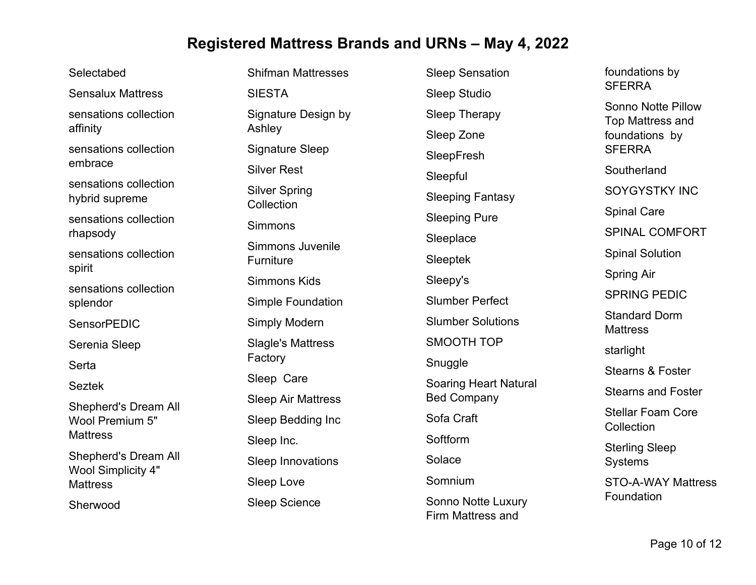Selectabed Sensalux Mattress sensations collection affinity sensations collection embrace sensations collection hybrid supreme sensations collection rhapsody sensations collection spirit sensations collection splendor **SensorPEDIC** Serenia Sleep **Serta** Seztek Shepherd's Dream All Wool Premium 5" **Mattress** Shepherd's Dream All Wool Simplicity 4" **Mattress** Sherwood

Shifman Mattresses SIESTA Signature Design by Ashley Signature Sleep Silver Rest Silver Spring Collection Simmons Simmons Juvenile Furniture Simmons Kids Simple Foundation Simply Modern Slagle's Mattress Factory Sleep Care Sleep Air Mattress Sleep Bedding Inc Sleep Inc. Sleep Innovations Sleep Love Sleep Science

Sleep Sensation Sleep Studio Sleep Therapy Sleep Zone **SleepFresh** Sleepful Sleeping Fantasy Sleeping Pure **Sleeplace** Sleeptek Sleepy's Slumber Perfect Slumber Solutions SMOOTH TOP Snuggle Soaring Heart Natural Bed Company Sofa Craft **Softform** Solace Somnium Sonno Notte Luxury

Firm Mattress and

**SFERRA** Sonno Notte Pillow Top Mattress and foundations by **SFFRRA Southerland** SOYGYSTKY INC Spinal Care SPINAL COMFORT Spinal Solution Spring Air SPRING PEDIC Standard Dorm **Mattress** starlight Stearns & Foster Stearns and Foster Stellar Foam Core Collection Sterling Sleep Systems STO-A-WAY Mattress Foundation

foundations by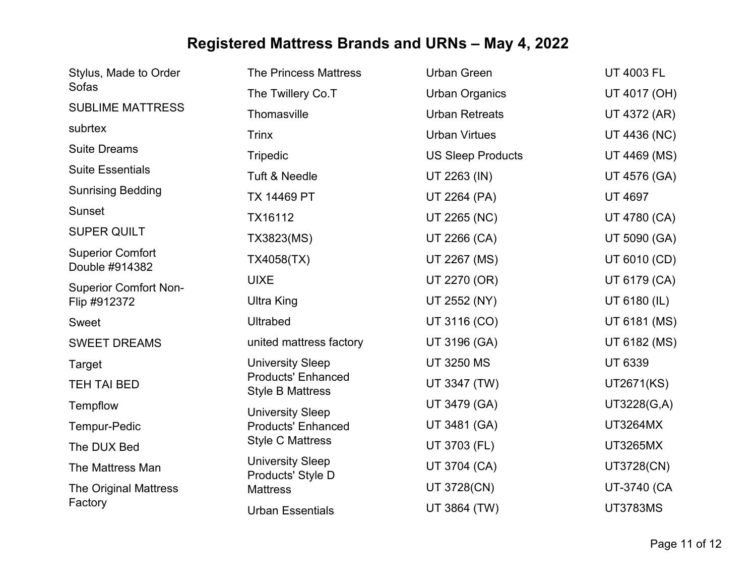| Stylus, Made to Order                     | <b>The Princess Mattress</b>                         | <b>Urban Green</b>       | <b>UT 4003 FL</b> |
|-------------------------------------------|------------------------------------------------------|--------------------------|-------------------|
| Sofas                                     | The Twillery Co.T                                    | <b>Urban Organics</b>    | UT 4017 (OH)      |
| <b>SUBLIME MATTRESS</b>                   | Thomasville                                          | <b>Urban Retreats</b>    | UT 4372 (AR)      |
| subrtex                                   | <b>Trinx</b>                                         | <b>Urban Virtues</b>     | UT 4436 (NC)      |
| <b>Suite Dreams</b>                       | <b>Tripedic</b>                                      | <b>US Sleep Products</b> | UT 4469 (MS)      |
| <b>Suite Essentials</b>                   | <b>Tuft &amp; Needle</b>                             | UT 2263 (IN)             | UT 4576 (GA)      |
| <b>Sunrising Bedding</b>                  | <b>TX 14469 PT</b>                                   | UT 2264 (PA)             | <b>UT 4697</b>    |
| Sunset                                    | TX16112                                              | UT 2265 (NC)             | UT 4780 (CA)      |
| <b>SUPER QUILT</b>                        | TX3823(MS)                                           | UT 2266 (CA)             | UT 5090 (GA)      |
| <b>Superior Comfort</b><br>Double #914382 | TX4058(TX)                                           | UT 2267 (MS)             | UT 6010 (CD)      |
| <b>Superior Comfort Non-</b>              | <b>UIXE</b>                                          | UT 2270 (OR)             | UT 6179 (CA)      |
| Flip #912372                              | <b>Ultra King</b>                                    | UT 2552 (NY)             | UT 6180 (IL)      |
| Sweet                                     | <b>Ultrabed</b>                                      | UT 3116 (CO)             | UT 6181 (MS)      |
| <b>SWEET DREAMS</b>                       | united mattress factory                              | UT 3196 (GA)             | UT 6182 (MS)      |
| <b>Target</b>                             | <b>University Sleep</b>                              | <b>UT 3250 MS</b>        | <b>UT 6339</b>    |
| <b>TEH TAI BED</b>                        | <b>Products' Enhanced</b><br><b>Style B Mattress</b> | UT 3347 (TW)             | UT2671(KS)        |
| Tempflow                                  | <b>University Sleep</b>                              | UT 3479 (GA)             | UT3228(G,A)       |
| Tempur-Pedic                              | <b>Products' Enhanced</b>                            | UT 3481 (GA)             | <b>UT3264MX</b>   |
| The DUX Bed                               | <b>Style C Mattress</b>                              | UT 3703 (FL)             | <b>UT3265MX</b>   |
| The Mattress Man                          | <b>University Sleep</b><br>Products' Style D         | UT 3704 (CA)             | UT3728(CN)        |
| <b>The Original Mattress</b>              | <b>Mattress</b>                                      | UT 3728(CN)              | UT-3740 (CA       |
| Factory                                   | <b>Urban Essentials</b>                              | UT 3864 (TW)             | <b>UT3783MS</b>   |